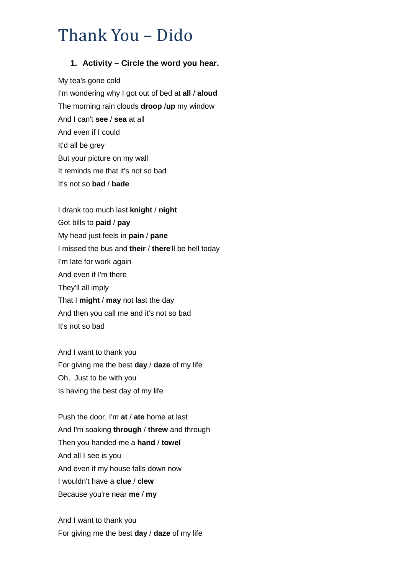## Thank You – Dido

## **1. Activity – Circle the word you hear.**

My tea's gone cold I'm wondering why I got out of bed at **all** / **aloud** The morning rain clouds **droop** /**up** my window And I can't **see** / **sea** at all And even if I could It'd all be grey But your picture on my wall It reminds me that it's not so bad It's not so **bad** / **bade** 

I drank too much last **knight** / **night** Got bills to **paid** / **pay** My head just feels in **pain** / **pane** I missed the bus and **their** / **there**'ll be hell today I'm late for work again And even if I'm there They'll all imply That I **might** / **may** not last the day And then you call me and it's not so bad It's not so bad

And I want to thank you For giving me the best **day** / **daze** of my life Oh, Just to be with you Is having the best day of my life

Push the door, I'm **at** / **ate** home at last And I'm soaking **through** / **threw** and through Then you handed me a **hand** / **towel** And all I see is you And even if my house falls down now I wouldn't have a **clue** / **clew** Because you're near **me** / **my** 

And I want to thank you For giving me the best **day** / **daze** of my life